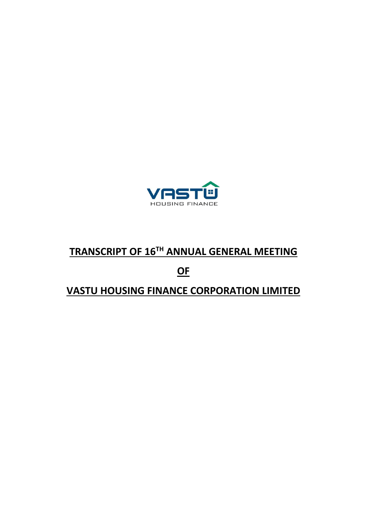

# **TRANSCRIPT OF 16TH ANNUAL GENERAL MEETING**

# **OF**

## **VASTU HOUSING FINANCE CORPORATION LIMITED**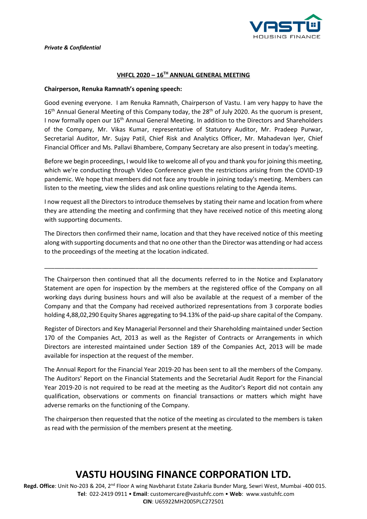

#### **VHFCL 2020 – 16TH ANNUAL GENERAL MEETING**

#### **Chairperson, Renuka Ramnath's opening speech:**

Good evening everyone. I am Renuka Ramnath, Chairperson of Vastu. I am very happy to have the 16<sup>th</sup> Annual General Meeting of this Company today, the 28<sup>th</sup> of July 2020. As the quorum is present, I now formally open our 16<sup>th</sup> Annual General Meeting. In addition to the Directors and Shareholders of the Company, Mr. Vikas Kumar, representative of Statutory Auditor, Mr. Pradeep Purwar, Secretarial Auditor, Mr. Sujay Patil, Chief Risk and Analytics Officer, Mr. Mahadevan Iyer, Chief Financial Officer and Ms. Pallavi Bhambere, Company Secretary are also present in today's meeting.

Before we begin proceedings, I would like to welcome all of you and thank you for joining this meeting, which we're conducting through Video Conference given the restrictions arising from the COVID-19 pandemic. We hope that members did not face any trouble in joining today's meeting. Members can listen to the meeting, view the slides and ask online questions relating to the Agenda items.

I now request all the Directors to introduce themselves by stating their name and location from where they are attending the meeting and confirming that they have received notice of this meeting along with supporting documents.

The Directors then confirmed their name, location and that they have received notice of this meeting along with supporting documents and that no one other than the Director was attending or had access to the proceedings of the meeting at the location indicated.

\_\_\_\_\_\_\_\_\_\_\_\_\_\_\_\_\_\_\_\_\_\_\_\_\_\_\_\_\_\_\_\_\_\_\_\_\_\_\_\_\_\_\_\_\_\_\_\_\_\_\_\_\_\_\_\_\_\_\_\_\_\_\_\_\_\_\_\_\_\_\_\_\_\_\_\_\_\_\_\_\_

The Chairperson then continued that all the documents referred to in the Notice and Explanatory Statement are open for inspection by the members at the registered office of the Company on all working days during business hours and will also be available at the request of a member of the Company and that the Company had received authorized representations from 3 corporate bodies holding 4,88,02,290 Equity Shares aggregating to 94.13% of the paid-up share capital of the Company.

Register of Directors and Key Managerial Personnel and their Shareholding maintained under Section 170 of the Companies Act, 2013 as well as the Register of Contracts or Arrangements in which Directors are interested maintained under Section 189 of the Companies Act, 2013 will be made available for inspection at the request of the member.

The Annual Report for the Financial Year 2019-20 has been sent to all the members of the Company. The Auditors' Report on the Financial Statements and the Secretarial Audit Report for the Financial Year 2019-20 is not required to be read at the meeting as the Auditor's Report did not contain any qualification, observations or comments on financial transactions or matters which might have adverse remarks on the functioning of the Company.

The chairperson then requested that the notice of the meeting as circulated to the members is taken as read with the permission of the members present at the meeting.

### **VASTU HOUSING FINANCE CORPORATION LTD.**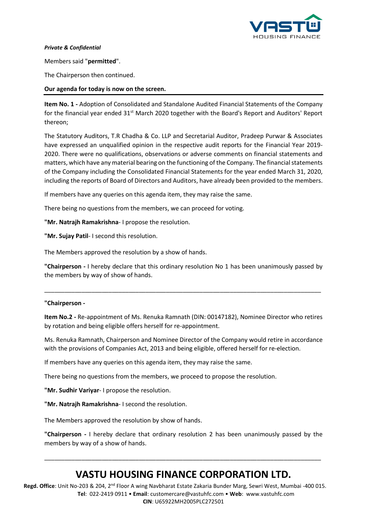

Members said "**permitted**".

The Chairperson then continued.

#### **Our agenda for today is now on the screen.**

**Item No. 1 -** Adoption of Consolidated and Standalone Audited Financial Statements of the Company for the financial year ended 31<sup>st</sup> March 2020 together with the Board's Report and Auditors' Report thereon;

The Statutory Auditors, T.R Chadha & Co. LLP and Secretarial Auditor, Pradeep Purwar & Associates have expressed an unqualified opinion in the respective audit reports for the Financial Year 2019- 2020. There were no qualifications, observations or adverse comments on financial statements and matters, which have any material bearing on the functioning of the Company. The financial statements of the Company including the Consolidated Financial Statements for the year ended March 31, 2020, including the reports of Board of Directors and Auditors, have already been provided to the members.

If members have any queries on this agenda item, they may raise the same.

There being no questions from the members, we can proceed for voting.

**"Mr. Natrajh Ramakrishna**- I propose the resolution.

**"Mr. Sujay Patil**- I second this resolution.

The Members approved the resolution by a show of hands.

**"Chairperson -** I hereby declare that this ordinary resolution No 1 has been unanimously passed by the members by way of show of hands.

\_\_\_\_\_\_\_\_\_\_\_\_\_\_\_\_\_\_\_\_\_\_\_\_\_\_\_\_\_\_\_\_\_\_\_\_\_\_\_\_\_\_\_\_\_\_\_\_\_\_\_\_\_\_\_\_\_\_\_\_\_\_\_\_\_\_\_\_\_\_\_\_\_\_\_\_\_\_\_\_\_\_

#### **"Chairperson -**

**Item No.2 -** Re-appointment of Ms. Renuka Ramnath (DIN: 00147182), Nominee Director who retires by rotation and being eligible offers herself for re-appointment.

Ms. Renuka Ramnath, Chairperson and Nominee Director of the Company would retire in accordance with the provisions of Companies Act, 2013 and being eligible, offered herself for re-election.

If members have any queries on this agenda item, they may raise the same.

There being no questions from the members, we proceed to propose the resolution.

**"Mr. Sudhir Variyar**- I propose the resolution.

**"Mr. Natrajh Ramakrishna**- I second the resolution.

The Members approved the resolution by show of hands.

**"Chairperson -** I hereby declare that ordinary resolution 2 has been unanimously passed by the members by way of a show of hands.

### **VASTU HOUSING FINANCE CORPORATION LTD.**

\_\_\_\_\_\_\_\_\_\_\_\_\_\_\_\_\_\_\_\_\_\_\_\_\_\_\_\_\_\_\_\_\_\_\_\_\_\_\_\_\_\_\_\_\_\_\_\_\_\_\_\_\_\_\_\_\_\_\_\_\_\_\_\_\_\_\_\_\_\_\_\_\_\_\_\_\_\_\_\_\_\_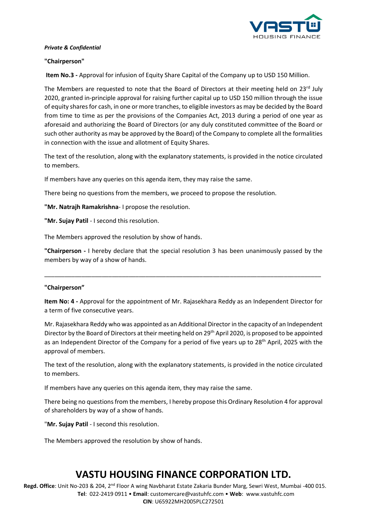

#### **"Chairperson"**

**Item No.3 -** Approval for infusion of Equity Share Capital of the Company up to USD 150 Million.

The Members are requested to note that the Board of Directors at their meeting held on  $23^{rd}$  July 2020, granted in-principle approval for raising further capital up to USD 150 million through the issue of equity shares for cash, in one or more tranches, to eligible investors as may be decided by the Board from time to time as per the provisions of the Companies Act, 2013 during a period of one year as aforesaid and authorizing the Board of Directors (or any duly constituted committee of the Board or such other authority as may be approved by the Board) of the Company to complete all the formalities in connection with the issue and allotment of Equity Shares.

The text of the resolution, along with the explanatory statements, is provided in the notice circulated to members.

If members have any queries on this agenda item, they may raise the same.

There being no questions from the members, we proceed to propose the resolution.

**"Mr. Natrajh Ramakrishna**- I propose the resolution.

**"Mr. Sujay Patil** - I second this resolution.

The Members approved the resolution by show of hands.

**"Chairperson -** I hereby declare that the special resolution 3 has been unanimously passed by the members by way of a show of hands.

\_\_\_\_\_\_\_\_\_\_\_\_\_\_\_\_\_\_\_\_\_\_\_\_\_\_\_\_\_\_\_\_\_\_\_\_\_\_\_\_\_\_\_\_\_\_\_\_\_\_\_\_\_\_\_\_\_\_\_\_\_\_\_\_\_\_\_\_\_\_\_\_\_\_\_\_\_\_\_\_\_\_

#### **"Chairperson"**

**Item No: 4 -** Approval for the appointment of Mr. Rajasekhara Reddy as an Independent Director for a term of five consecutive years.

Mr. Rajasekhara Reddy who was appointed as an Additional Director in the capacity of an Independent Director by the Board of Directors at their meeting held on 29<sup>th</sup> April 2020, is proposed to be appointed as an Independent Director of the Company for a period of five years up to 28<sup>th</sup> April, 2025 with the approval of members.

The text of the resolution, along with the explanatory statements, is provided in the notice circulated to members.

If members have any queries on this agenda item, they may raise the same.

There being no questions from the members, I hereby propose this Ordinary Resolution 4 for approval of shareholders by way of a show of hands.

"**Mr. Sujay Patil** - I second this resolution.

The Members approved the resolution by show of hands.

### **VASTU HOUSING FINANCE CORPORATION LTD.**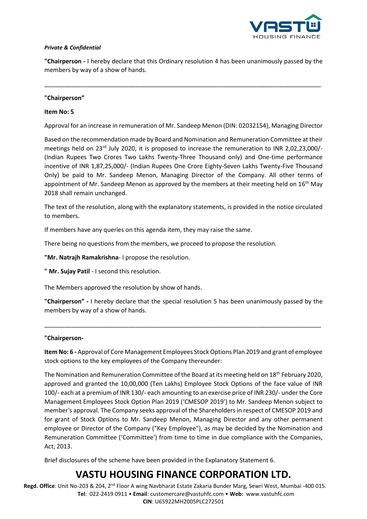

**"Chairperson -** I hereby declare that this Ordinary resolution 4 has been unanimously passed by the members by way of a show of hands.

\_\_\_\_\_\_\_\_\_\_\_\_\_\_\_\_\_\_\_\_\_\_\_\_\_\_\_\_\_\_\_\_\_\_\_\_\_\_\_\_\_\_\_\_\_\_\_\_\_\_\_\_\_\_\_\_\_\_\_\_\_\_\_\_\_\_\_\_\_\_\_\_\_\_\_\_\_\_\_\_\_\_

#### **"Chairperson"**

#### **Item No: 5**

Approval for an increase in remuneration of Mr. Sandeep Menon (DIN: 02032154), Managing Director

Based on the recommendation made by Board and Nomination and Remuneration Committee at their meetings held on 23<sup>rd</sup> July 2020, it is proposed to increase the remuneration to INR 2,02,23,000/-(Indian Rupees Two Crores Two Lakhs Twenty-Three Thousand only) and One-time performance incentive of INR 1,87,25,000/- (Indian Rupees One Crore Eighty-Seven Lakhs Twenty-Five Thousand Only) be paid to Mr. Sandeep Menon, Managing Director of the Company. All other terms of appointment of Mr. Sandeep Menon as approved by the members at their meeting held on  $16<sup>th</sup>$  May 2018 shall remain unchanged.

The text of the resolution, along with the explanatory statements, is provided in the notice circulated to members.

If members have any queries on this agenda item, they may raise the same.

There being no questions from the members, we proceed to propose the resolution.

**"Mr. Natrajh Ramakrishna**- I propose the resolution.

**" Mr. Sujay Patil** - I second this resolution.

The Members approved the resolution by show of hands.

**"Chairperson" -** I hereby declare that the special resolution 5 has been unanimously passed by the members by way of a show of hands.

\_\_\_\_\_\_\_\_\_\_\_\_\_\_\_\_\_\_\_\_\_\_\_\_\_\_\_\_\_\_\_\_\_\_\_\_\_\_\_\_\_\_\_\_\_\_\_\_\_\_\_\_\_\_\_\_\_\_\_\_\_\_\_\_\_\_\_\_\_\_\_\_\_\_\_\_\_\_\_\_\_\_

#### **"Chairperson-**

**Item No: 6 -** Approval of Core Management Employees Stock Options Plan 2019 and grant of employee stock options to the key employees of the Company thereunder:

The Nomination and Remuneration Committee of the Board at its meeting held on 18<sup>th</sup> February 2020, approved and granted the 10,00,000 (Ten Lakhs) Employee Stock Options of the face value of INR 100/- each at a premium of INR 130/- each amounting to an exercise price of INR 230/- under the Core Management Employees Stock Option Plan 2019 ('CMESOP 2019') to Mr. Sandeep Menon subject to member's approval. The Company seeks approval of the Shareholders in respect of CMESOP 2019 and for grant of Stock Options to Mr. Sandeep Menon, Managing Director and any other permanent employee or Director of the Company ("Key Employee"), as may be decided by the Nomination and Remuneration Committee ('Committee') from time to time in due compliance with the Companies, Act, 2013.

Brief disclosures of the scheme have been provided in the Explanatory Statement 6.

### **VASTU HOUSING FINANCE CORPORATION LTD.**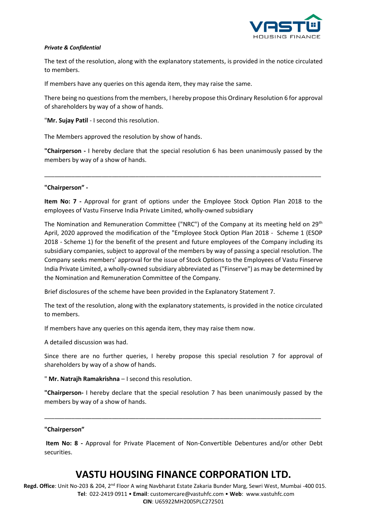

The text of the resolution, along with the explanatory statements, is provided in the notice circulated to members.

If members have any queries on this agenda item, they may raise the same.

There being no questions from the members, I hereby propose this Ordinary Resolution 6 for approval of shareholders by way of a show of hands.

"**Mr. Sujay Patil** - I second this resolution.

The Members approved the resolution by show of hands.

**"Chairperson -** I hereby declare that the special resolution 6 has been unanimously passed by the members by way of a show of hands.

\_\_\_\_\_\_\_\_\_\_\_\_\_\_\_\_\_\_\_\_\_\_\_\_\_\_\_\_\_\_\_\_\_\_\_\_\_\_\_\_\_\_\_\_\_\_\_\_\_\_\_\_\_\_\_\_\_\_\_\_\_\_\_\_\_\_\_\_\_\_\_\_\_\_\_\_\_\_\_\_\_\_

**"Chairperson" -**

**Item No: 7 -** Approval for grant of options under the Employee Stock Option Plan 2018 to the employees of Vastu Finserve India Private Limited, wholly-owned subsidiary

The Nomination and Remuneration Committee ("NRC") of the Company at its meeting held on 29<sup>th</sup> April, 2020 approved the modification of the "Employee Stock Option Plan 2018 - Scheme 1 (ESOP 2018 - Scheme 1) for the benefit of the present and future employees of the Company including its subsidiary companies, subject to approval of the members by way of passing a special resolution. The Company seeks members' approval for the issue of Stock Options to the Employees of Vastu Finserve India Private Limited, a wholly-owned subsidiary abbreviated as ("Finserve") as may be determined by the Nomination and Remuneration Committee of the Company.

Brief disclosures of the scheme have been provided in the Explanatory Statement 7.

The text of the resolution, along with the explanatory statements, is provided in the notice circulated to members.

If members have any queries on this agenda item, they may raise them now.

A detailed discussion was had.

Since there are no further queries, I hereby propose this special resolution 7 for approval of shareholders by way of a show of hands.

" **Mr. Natrajh Ramakrishna** – I second this resolution.

**"Chairperson-** I hereby declare that the special resolution 7 has been unanimously passed by the members by way of a show of hands.

\_\_\_\_\_\_\_\_\_\_\_\_\_\_\_\_\_\_\_\_\_\_\_\_\_\_\_\_\_\_\_\_\_\_\_\_\_\_\_\_\_\_\_\_\_\_\_\_\_\_\_\_\_\_\_\_\_\_\_\_\_\_\_\_\_\_\_\_\_\_\_\_\_\_\_\_\_\_\_\_\_\_

#### **"Chairperson"**

**Item No: 8 -** Approval for Private Placement of Non-Convertible Debentures and/or other Debt securities.

### **VASTU HOUSING FINANCE CORPORATION LTD.**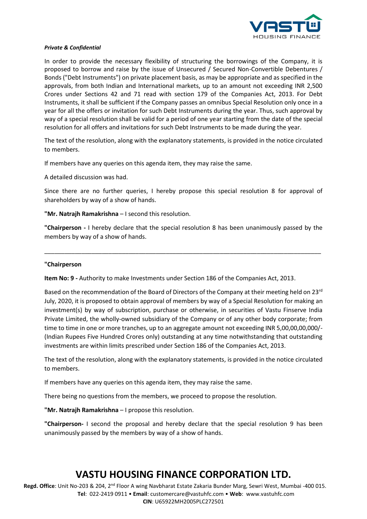

In order to provide the necessary flexibility of structuring the borrowings of the Company, it is proposed to borrow and raise by the issue of Unsecured / Secured Non-Convertible Debentures / Bonds ("Debt Instruments") on private placement basis, as may be appropriate and as specified in the approvals, from both Indian and International markets, up to an amount not exceeding INR 2,500 Crores under Sections 42 and 71 read with section 179 of the Companies Act, 2013. For Debt Instruments, it shall be sufficient if the Company passes an omnibus Special Resolution only once in a year for all the offers or invitation for such Debt Instruments during the year. Thus, such approval by way of a special resolution shall be valid for a period of one year starting from the date of the special resolution for all offers and invitations for such Debt Instruments to be made during the year.

The text of the resolution, along with the explanatory statements, is provided in the notice circulated to members.

If members have any queries on this agenda item, they may raise the same.

A detailed discussion was had.

Since there are no further queries, I hereby propose this special resolution 8 for approval of shareholders by way of a show of hands.

**"Mr. Natrajh Ramakrishna** – I second this resolution.

**"Chairperson -** I hereby declare that the special resolution 8 has been unanimously passed by the members by way of a show of hands.

\_\_\_\_\_\_\_\_\_\_\_\_\_\_\_\_\_\_\_\_\_\_\_\_\_\_\_\_\_\_\_\_\_\_\_\_\_\_\_\_\_\_\_\_\_\_\_\_\_\_\_\_\_\_\_\_\_\_\_\_\_\_\_\_\_\_\_\_\_\_\_\_\_\_\_\_\_\_\_\_\_\_

#### **"Chairperson**

**Item No: 9 -** Authority to make Investments under Section 186 of the Companies Act, 2013.

Based on the recommendation of the Board of Directors of the Company at their meeting held on 23<sup>rd</sup> July, 2020, it is proposed to obtain approval of members by way of a Special Resolution for making an investment(s) by way of subscription, purchase or otherwise, in securities of Vastu Finserve India Private Limited, the wholly-owned subsidiary of the Company or of any other body corporate; from time to time in one or more tranches, up to an aggregate amount not exceeding INR 5,00,00,00,000/- (Indian Rupees Five Hundred Crores only) outstanding at any time notwithstanding that outstanding investments are within limits prescribed under Section 186 of the Companies Act, 2013.

The text of the resolution, along with the explanatory statements, is provided in the notice circulated to members.

If members have any queries on this agenda item, they may raise the same.

There being no questions from the members, we proceed to propose the resolution.

**"Mr. Natrajh Ramakrishna** – I propose this resolution.

**"Chairperson-** I second the proposal and hereby declare that the special resolution 9 has been unanimously passed by the members by way of a show of hands.

### **VASTU HOUSING FINANCE CORPORATION LTD.**